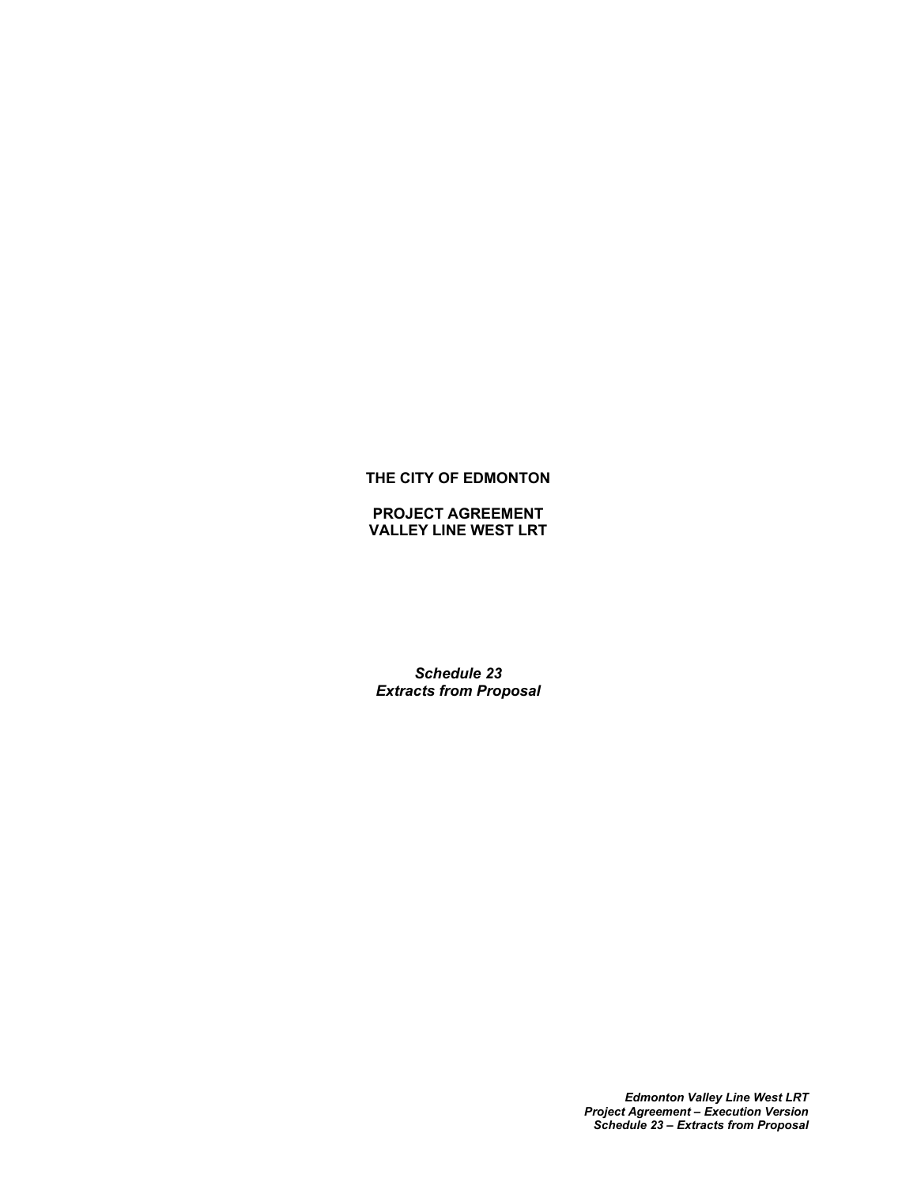# **THE CITY OF EDMONTON**

**PROJECT AGREEMENT VALLEY LINE WEST LRT**

*Schedule 23 Extracts from Proposal*

> *Edmonton Valley Line West LRT Project Agreement – Execution Version Schedule 23 – Extracts from Proposal*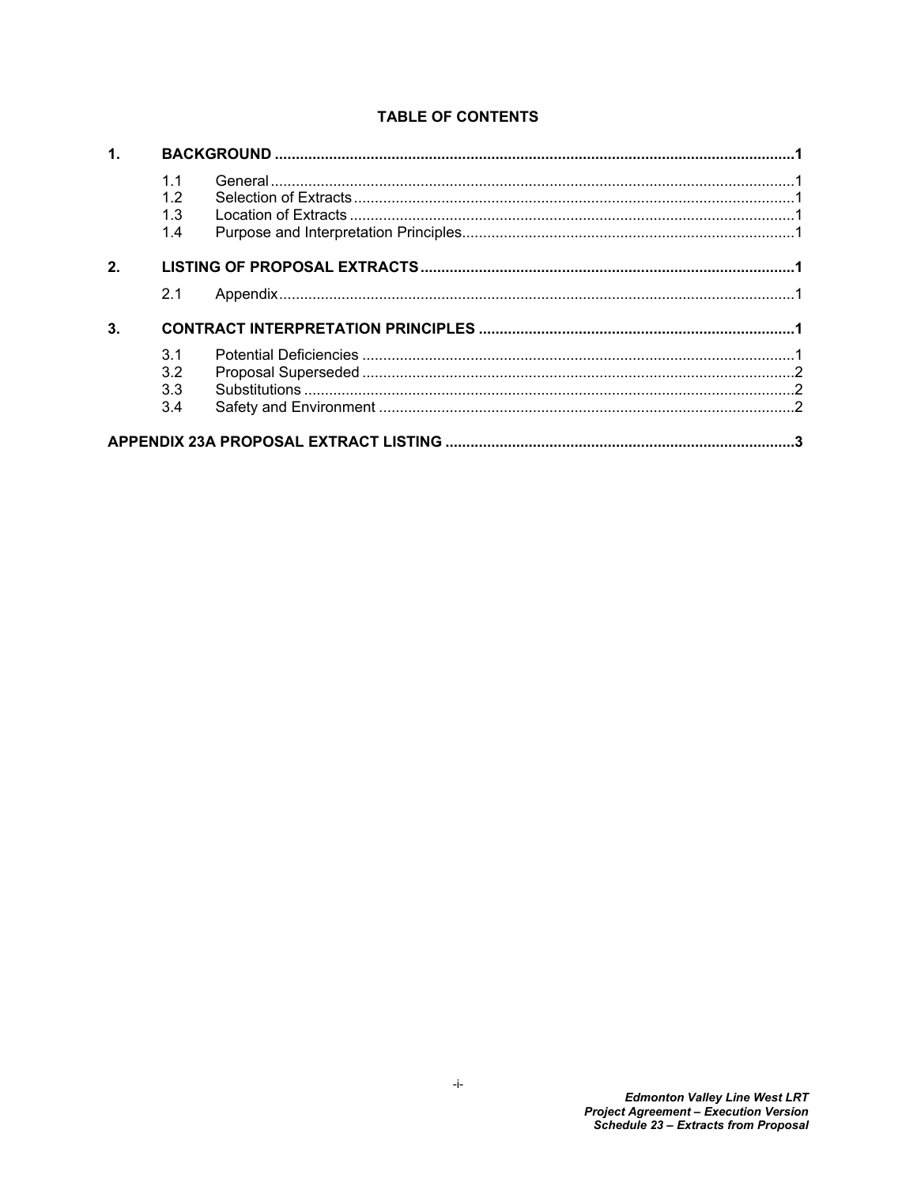# **TABLE OF CONTENTS**

| 1. |     |  |  |
|----|-----|--|--|
|    | 1.1 |  |  |
|    | 1.2 |  |  |
|    | 1.3 |  |  |
|    | 1.4 |  |  |
| 2. |     |  |  |
|    | 2.1 |  |  |
| 3. |     |  |  |
|    | 3.1 |  |  |
|    | 3.2 |  |  |
|    | 3.3 |  |  |
|    | 3.4 |  |  |
|    |     |  |  |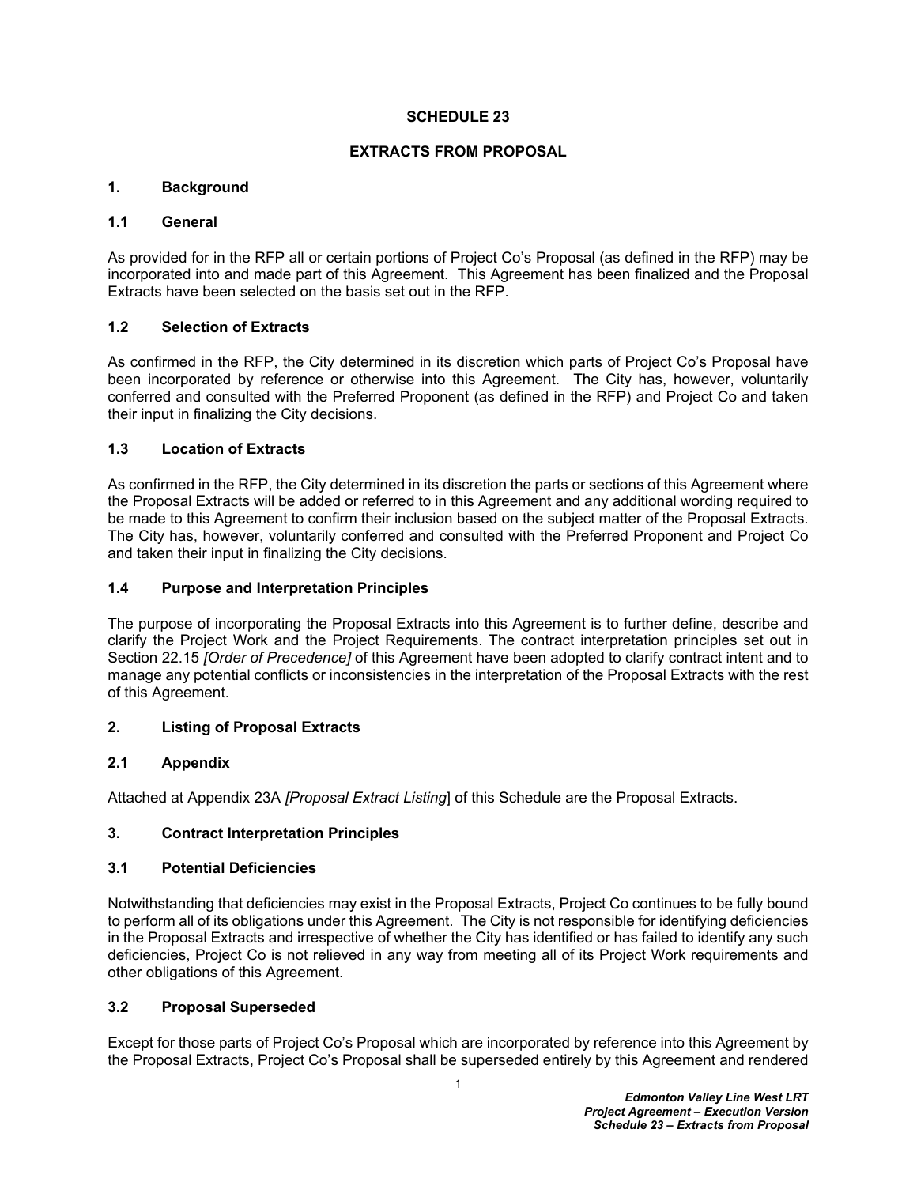#### **SCHEDULE 23**

### **EXTRACTS FROM PROPOSAL**

### <span id="page-2-0"></span>**1. Background**

#### <span id="page-2-1"></span>**1.1 General**

As provided for in the RFP all or certain portions of Project Co's Proposal (as defined in the RFP) may be incorporated into and made part of this Agreement. This Agreement has been finalized and the Proposal Extracts have been selected on the basis set out in the RFP.

### <span id="page-2-2"></span>**1.2 Selection of Extracts**

As confirmed in the RFP, the City determined in its discretion which parts of Project Co's Proposal have been incorporated by reference or otherwise into this Agreement. The City has, however, voluntarily conferred and consulted with the Preferred Proponent (as defined in the RFP) and Project Co and taken their input in finalizing the City decisions.

### <span id="page-2-3"></span>**1.3 Location of Extracts**

As confirmed in the RFP, the City determined in its discretion the parts or sections of this Agreement where the Proposal Extracts will be added or referred to in this Agreement and any additional wording required to be made to this Agreement to confirm their inclusion based on the subject matter of the Proposal Extracts. The City has, however, voluntarily conferred and consulted with the Preferred Proponent and Project Co and taken their input in finalizing the City decisions.

### <span id="page-2-4"></span>**1.4 Purpose and Interpretation Principles**

The purpose of incorporating the Proposal Extracts into this Agreement is to further define, describe and clarify the Project Work and the Project Requirements. The contract interpretation principles set out in Section 22.15 *[Order of Precedence]* of this Agreement have been adopted to clarify contract intent and to manage any potential conflicts or inconsistencies in the interpretation of the Proposal Extracts with the rest of this Agreement.

## <span id="page-2-5"></span>**2. Listing of Proposal Extracts**

## <span id="page-2-6"></span>**2.1 Appendix**

Attached at Appendix 23A *[Proposal Extract Listing*] of this Schedule are the Proposal Extracts.

## <span id="page-2-7"></span>**3. Contract Interpretation Principles**

#### <span id="page-2-8"></span>**3.1 Potential Deficiencies**

Notwithstanding that deficiencies may exist in the Proposal Extracts, Project Co continues to be fully bound to perform all of its obligations under this Agreement. The City is not responsible for identifying deficiencies in the Proposal Extracts and irrespective of whether the City has identified or has failed to identify any such deficiencies, Project Co is not relieved in any way from meeting all of its Project Work requirements and other obligations of this Agreement.

## <span id="page-2-9"></span>**3.2 Proposal Superseded**

Except for those parts of Project Co's Proposal which are incorporated by reference into this Agreement by the Proposal Extracts, Project Co's Proposal shall be superseded entirely by this Agreement and rendered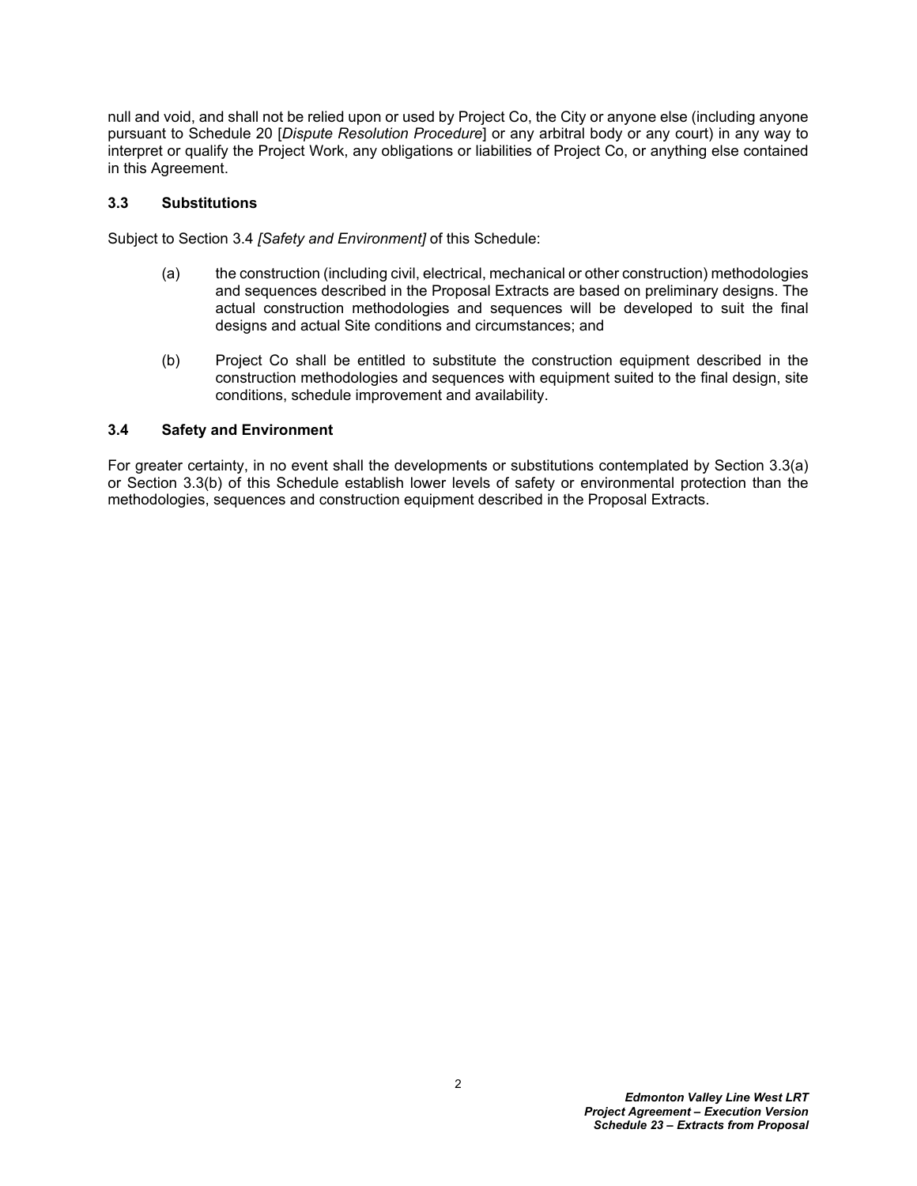null and void, and shall not be relied upon or used by Project Co, the City or anyone else (including anyone pursuant to Schedule 20 [*Dispute Resolution Procedure*] or any arbitral body or any court) in any way to interpret or qualify the Project Work, any obligations or liabilities of Project Co, or anything else contained in this Agreement.

### <span id="page-3-0"></span>**3.3 Substitutions**

Subject to Section [3.4](#page-3-1) *[Safety and Environment]* of this Schedule:

- <span id="page-3-2"></span>(a) the construction (including civil, electrical, mechanical or other construction) methodologies and sequences described in the Proposal Extracts are based on preliminary designs. The actual construction methodologies and sequences will be developed to suit the final designs and actual Site conditions and circumstances; and
- <span id="page-3-3"></span>(b) Project Co shall be entitled to substitute the construction equipment described in the construction methodologies and sequences with equipment suited to the final design, site conditions, schedule improvement and availability.

### <span id="page-3-1"></span>**3.4 Safety and Environment**

For greater certainty, in no event shall the developments or substitutions contemplated by Section [3.3\(a\)](#page-3-2)  or Section [3.3\(b\)](#page-3-3) of this Schedule establish lower levels of safety or environmental protection than the methodologies, sequences and construction equipment described in the Proposal Extracts.